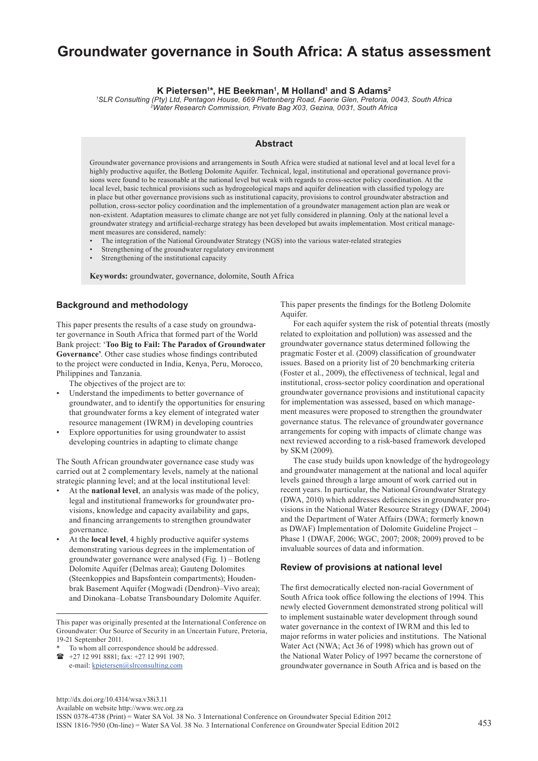# **Groundwater governance in South Africa: A status assessment**

**K Pietersen1 \*, HE Beekman1 , M Holland1 and S Adams2**

*1 SLR Consulting (Pty) Ltd, Pentagon House, 669 Plettenberg Road, Faerie Glen, Pretoria, 0043, South Africa 2Water Research Commission, Private Bag X03, Gezina, 0031, South Africa*

# **Abstract**

Groundwater governance provisions and arrangements in South Africa were studied at national level and at local level for a highly productive aquifer, the Botleng Dolomite Aquifer. Technical, legal, institutional and operational governance provisions were found to be reasonable at the national level but weak with regards to cross-sector policy coordination. At the local level, basic technical provisions such as hydrogeological maps and aquifer delineation with classified typology are in place but other governance provisions such as institutional capacity, provisions to control groundwater abstraction and pollution, cross-sector policy coordination and the implementation of a groundwater management action plan are weak or non-existent. Adaptation measures to climate change are not yet fully considered in planning. Only at the national level a groundwater strategy and artificial-recharge strategy has been developed but awaits implementation. Most critical management measures are considered, namely:

- The integration of the National Groundwater Strategy (NGS) into the various water-related strategies
- Strengthening of the groundwater regulatory environment
- Strengthening of the institutional capacity

**Keywords:** groundwater, governance, dolomite, South Africa

# **Background and methodology**

This paper presents the results of a case study on groundwater governance in South Africa that formed part of the World Bank project: '**Too Big to Fail: The Paradox of Groundwater Governance'**. Other case studies whose findings contributed to the project were conducted in India, Kenya, Peru, Morocco, Philippines and Tanzania.

The objectives of the project are to:

- Understand the impediments to better governance of groundwater, and to identify the opportunities for ensuring that groundwater forms a key element of integrated water resource management (IWRM) in developing countries
- Explore opportunities for using groundwater to assist developing countries in adapting to climate change

The South African groundwater governance case study was carried out at 2 complementary levels, namely at the national strategic planning level; and at the local institutional level:

- At the **national level**, an analysis was made of the policy, legal and institutional frameworks for groundwater provisions, knowledge and capacity availability and gaps, and financing arrangements to strengthen groundwater governance.
- At the **local level**, 4 highly productive aquifer systems demonstrating various degrees in the implementation of groundwater governance were analysed (Fig. 1) – Botleng Dolomite Aquifer (Delmas area); Gauteng Dolomites (Steenkoppies and Bapsfontein compartments); Houdenbrak Basement Aquifer (Mogwadi (Dendron)–Vivo area); and Dinokana–Lobatse Transboundary Dolomite Aquifer.

This paper was originally presented at the International Conference on Groundwater: Our Source of Security in an Uncertain Future, Pretoria, 19-21 September 2011.

- To whom all correspondence should be addressed.
- +27 12 991 8881; fax: +27 12 991 1907; e-mail: kpietersen@slrconsulting.com

This paper presents the findings for the Botleng Dolomite Aquifer.

For each aquifer system the risk of potential threats (mostly related to exploitation and pollution) was assessed and the groundwater governance status determined following the pragmatic Foster et al. (2009) classification of groundwater issues. Based on a priority list of 20 benchmarking criteria (Foster et al., 2009), the effectiveness of technical, legal and institutional, cross-sector policy coordination and operational groundwater governance provisions and institutional capacity for implementation was assessed, based on which management measures were proposed to strengthen the groundwater governance status. The relevance of groundwater governance arrangements for coping with impacts of climate change was next reviewed according to a risk-based framework developed by SKM (2009).

The case study builds upon knowledge of the hydrogeology and groundwater management at the national and local aquifer levels gained through a large amount of work carried out in recent years. In particular, the National Groundwater Strategy (DWA, 2010) which addresses deficiencies in groundwater provisions in the National Water Resource Strategy (DWAF, 2004) and the Department of Water Affairs (DWA; formerly known as DWAF) Implementation of Dolomite Guideline Project – Phase 1 (DWAF, 2006; WGC, 2007; 2008; 2009) proved to be invaluable sources of data and information.

### **Review of provisions at national level**

The first democratically elected non-racial Government of South Africa took office following the elections of 1994. This newly elected Government demonstrated strong political will to implement sustainable water development through sound water governance in the context of IWRM and this led to major reforms in water policies and institutions. The National Water Act (NWA; Act 36 of 1998) which has grown out of the National Water Policy of 1997 became the cornerstone of groundwater governance in South Africa and is based on the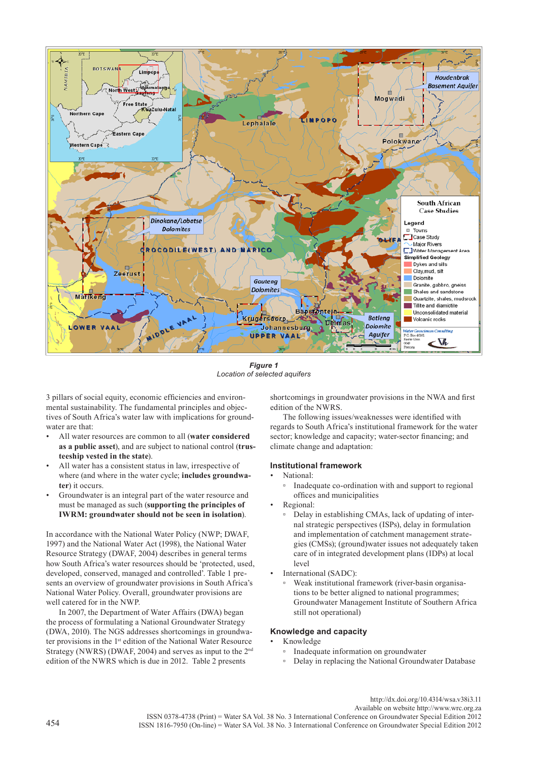

*Figure 1 Location of selected aquifers*

3 pillars of social equity, economic efficiencies and environmental sustainability. The fundamental principles and objectives of South Africa's water law with implications for groundwater are that:

- All water resources are common to all (**water considered as a public asset**), and are subject to national control (**trusteeship vested in the state**).
- All water has a consistent status in law, irrespective of where (and where in the water cycle; **includes groundwater**) it occurs.
- Groundwater is an integral part of the water resource and must be managed as such (**supporting the principles of IWRM: groundwater should not be seen in isolation**).

In accordance with the National Water Policy (NWP; DWAF, 1997) and the National Water Act (1998), the National Water Resource Strategy (DWAF, 2004) describes in general terms how South Africa's water resources should be 'protected, used, developed, conserved, managed and controlled'. Table 1 presents an overview of groundwater provisions in South Africa's National Water Policy. Overall, groundwater provisions are well catered for in the NWP.

In 2007, the Department of Water Affairs (DWA) began the process of formulating a National Groundwater Strategy (DWA, 2010). The NGS addresses shortcomings in groundwater provisions in the 1st edition of the National Water Resource Strategy (NWRS) (DWAF, 2004) and serves as input to the 2nd edition of the NWRS which is due in 2012. Table 2 presents

shortcomings in groundwater provisions in the NWA and first edition of the NWRS.

The following issues/weaknesses were identified with regards to South Africa's institutional framework for the water sector; knowledge and capacity; water-sector financing; and climate change and adaptation:

# **Institutional framework**

### • National:

- Inadequate co-ordination with and support to regional offices and municipalities
- Regional:
	- Delay in establishing CMAs, lack of updating of internal strategic perspectives (ISPs), delay in formulation and implementation of catchment management strategies (CMSs); (ground)water issues not adequately taken care of in integrated development plans (IDPs) at local level
- International (SADC):
- Weak institutional framework (river-basin organisations to be better aligned to national programmes; Groundwater Management Institute of Southern Africa still not operational)

# **Knowledge and capacity**

- Knowledge
	- Inadequate information on groundwater
	- Delay in replacing the National Groundwater Database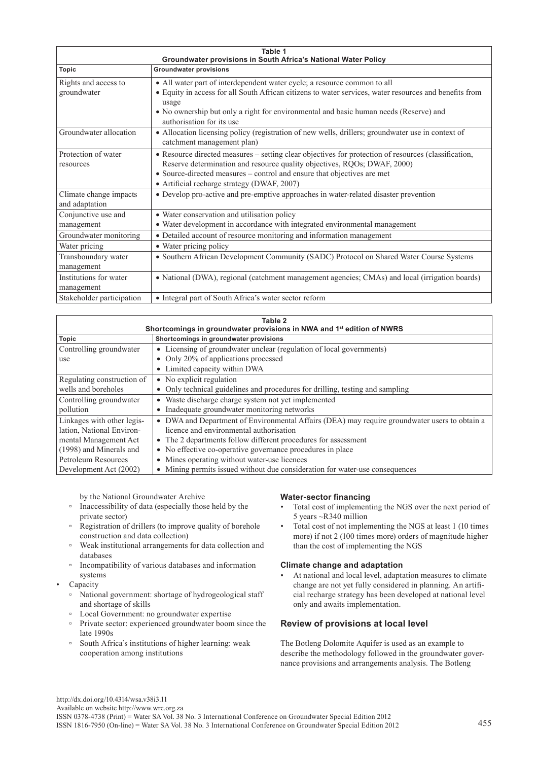| Table 1<br>Groundwater provisions in South Africa's National Water Policy |                                                                                                                                                                                                                                                                                                                   |  |  |  |
|---------------------------------------------------------------------------|-------------------------------------------------------------------------------------------------------------------------------------------------------------------------------------------------------------------------------------------------------------------------------------------------------------------|--|--|--|
| <b>Topic</b>                                                              | <b>Groundwater provisions</b>                                                                                                                                                                                                                                                                                     |  |  |  |
| Rights and access to<br>groundwater                                       | • All water part of interdependent water cycle; a resource common to all<br>• Equity in access for all South African citizens to water services, water resources and benefits from<br>usage<br>• No ownership but only a right for environmental and basic human needs (Reserve) and<br>authorisation for its use |  |  |  |
| Groundwater allocation                                                    | • Allocation licensing policy (registration of new wells, drillers; groundwater use in context of<br>catchment management plan)                                                                                                                                                                                   |  |  |  |
| Protection of water<br>resources                                          | • Resource directed measures – setting clear objectives for protection of resources (classification,<br>Reserve determination and resource quality objectives, RQOs; DWAF, 2000)<br>• Source-directed measures – control and ensure that objectives are met<br>• Artificial recharge strategy (DWAF, 2007)        |  |  |  |
| Climate change impacts<br>and adaptation                                  | • Develop pro-active and pre-emptive approaches in water-related disaster prevention                                                                                                                                                                                                                              |  |  |  |
| Conjunctive use and<br>management                                         | • Water conservation and utilisation policy<br>• Water development in accordance with integrated environmental management                                                                                                                                                                                         |  |  |  |
| Groundwater monitoring                                                    | • Detailed account of resource monitoring and information management                                                                                                                                                                                                                                              |  |  |  |
| Water pricing                                                             | • Water pricing policy                                                                                                                                                                                                                                                                                            |  |  |  |
| Transboundary water<br>management                                         | • Southern African Development Community (SADC) Protocol on Shared Water Course Systems                                                                                                                                                                                                                           |  |  |  |
| Institutions for water<br>management                                      | • National (DWA), regional (catchment management agencies; CMAs) and local (irrigation boards)                                                                                                                                                                                                                    |  |  |  |
| Stakeholder participation                                                 | • Integral part of South Africa's water sector reform                                                                                                                                                                                                                                                             |  |  |  |

| Table 2<br>Shortcomings in groundwater provisions in NWA and 1 <sup>st</sup> edition of NWRS |                                                                                                          |  |  |  |
|----------------------------------------------------------------------------------------------|----------------------------------------------------------------------------------------------------------|--|--|--|
| Topic                                                                                        | Shortcomings in groundwater provisions                                                                   |  |  |  |
| Controlling groundwater                                                                      | Licensing of groundwater unclear (regulation of local governments)<br>$\bullet$                          |  |  |  |
| use                                                                                          | • Only 20% of applications processed                                                                     |  |  |  |
|                                                                                              | Limited capacity within DWA<br>$\bullet$                                                                 |  |  |  |
| Regulating construction of                                                                   | No explicit regulation<br>$\bullet$                                                                      |  |  |  |
| wells and boreholes                                                                          | Only technical guidelines and procedures for drilling, testing and sampling<br>$\bullet$                 |  |  |  |
| Controlling groundwater                                                                      | Waste discharge charge system not yet implemented<br>$\bullet$                                           |  |  |  |
| pollution                                                                                    | Inadequate groundwater monitoring networks<br>$\bullet$                                                  |  |  |  |
| Linkages with other legis-                                                                   | DWA and Department of Environmental Affairs (DEA) may require groundwater users to obtain a<br>$\bullet$ |  |  |  |
| lation, National Environ-                                                                    | licence and environmental authorisation                                                                  |  |  |  |
| mental Management Act                                                                        | The 2 departments follow different procedures for assessment<br>$\bullet$                                |  |  |  |
| (1998) and Minerals and                                                                      | • No effective co-operative governance procedures in place                                               |  |  |  |
| Petroleum Resources                                                                          | Mines operating without water-use licences<br>$\bullet$                                                  |  |  |  |
| Development Act (2002)                                                                       | Mining permits issued without due consideration for water-use consequences<br>$\bullet$                  |  |  |  |

by the National Groundwater Archive

- Inaccessibility of data (especially those held by the private sector)
- Registration of drillers (to improve quality of borehole construction and data collection)
- Weak institutional arrangements for data collection and databases
- Incompatibility of various databases and information systems
- **Capacity** 
	- National government: shortage of hydrogeological staff and shortage of skills
	- Local Government: no groundwater expertise
	- Private sector: experienced groundwater boom since the late 1990s
	- South Africa's institutions of higher learning: weak cooperation among institutions

# **Water-sector financing**

- Total cost of implementing the NGS over the next period of 5 years ~R340 million
- Total cost of not implementing the NGS at least 1 (10 times more) if not 2 (100 times more) orders of magnitude higher than the cost of implementing the NGS

# **Climate change and adaptation**

At national and local level, adaptation measures to climate change are not yet fully considered in planning. An artificial recharge strategy has been developed at national level only and awaits implementation.

# **Review of provisions at local level**

The Botleng Dolomite Aquifer is used as an example to describe the methodology followed in the groundwater governance provisions and arrangements analysis. The Botleng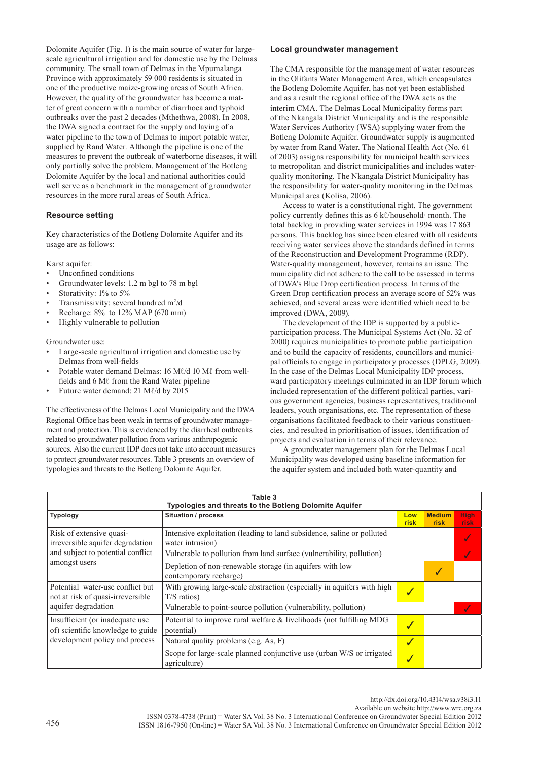Dolomite Aquifer (Fig. 1) is the main source of water for largescale agricultural irrigation and for domestic use by the Delmas community. The small town of Delmas in the Mpumalanga Province with approximately 59 000 residents is situated in one of the productive maize-growing areas of South Africa. However, the quality of the groundwater has become a matter of great concern with a number of diarrhoea and typhoid outbreaks over the past 2 decades (Mthethwa, 2008). In 2008, the DWA signed a contract for the supply and laying of a water pipeline to the town of Delmas to import potable water, supplied by Rand Water. Although the pipeline is one of the measures to prevent the outbreak of waterborne diseases, it will only partially solve the problem. Management of the Botleng Dolomite Aquifer by the local and national authorities could well serve as a benchmark in the management of groundwater resources in the more rural areas of South Africa.

### **Resource setting**

Key characteristics of the Botleng Dolomite Aquifer and its usage are as follows:

Karst aquifer:

- Unconfined conditions
- Groundwater levels: 1.2 m bgl to 78 m bgl
- Storativity: 1% to 5%
- Transmissivity: several hundred  $m^2/d$
- Recharge:  $8\%$  to 12% MAP (670 mm)
- Highly vulnerable to pollution

### Groundwater use:

- Large-scale agricultural irrigation and domestic use by Delmas from well-fields
- Potable water demand Delmas: 16 Mℓ/d 10 Mℓ from wellfields and 6 Mℓ from the Rand Water pipeline
- Future water demand: 21 Mℓ/d by 2015

The effectiveness of the Delmas Local Municipality and the DWA Regional Office has been weak in terms of groundwater management and protection. This is evidenced by the diarrheal outbreaks related to groundwater pollution from various anthropogenic sources. Also the current IDP does not take into account measures to protect groundwater resources. Table 3 presents an overview of typologies and threats to the Botleng Dolomite Aquifer.

#### **Local groundwater management**

The CMA responsible for the management of water resources in the Olifants Water Management Area, which encapsulates the Botleng Dolomite Aquifer, has not yet been established and as a result the regional office of the DWA acts as the interim CMA. The Delmas Local Municipality forms part of the Nkangala District Municipality and is the responsible Water Services Authority (WSA) supplying water from the Botleng Dolomite Aquifer. Groundwater supply is augmented by water from Rand Water. The National Health Act (No. 61 of 2003) assigns responsibility for municipal health services to metropolitan and district municipalities and includes waterquality monitoring. The Nkangala District Municipality has the responsibility for water-quality monitoring in the Delmas Municipal area (Kolisa, 2006).

Access to water is a constitutional right. The government policy currently defines this as 6 kl/household· month. The total backlog in providing water services in 1994 was 17 863 persons. This backlog has since been cleared with all residents receiving water services above the standards defined in terms of the Reconstruction and Development Programme (RDP). Water-quality management, however, remains an issue. The municipality did not adhere to the call to be assessed in terms of DWA's Blue Drop certification process. In terms of the Green Drop certification process an average score of 52% was achieved, and several areas were identified which need to be improved (DWA, 2009).

The development of the IDP is supported by a publicparticipation process. The Municipal Systems Act (No. 32 of 2000) requires municipalities to promote public participation and to build the capacity of residents, councillors and municipal officials to engage in participatory processes (DPLG, 2009). In the case of the Delmas Local Municipality IDP process, ward participatory meetings culminated in an IDP forum which included representation of the different political parties, various government agencies, business representatives, traditional leaders, youth organisations, etc. The representation of these organisations facilitated feedback to their various constituencies, and resulted in prioritisation of issues, identification of projects and evaluation in terms of their relevance.

A groundwater management plan for the Delmas Local Municipality was developed using baseline information for the aquifer system and included both water-quantity and

| Table 3<br>Typologies and threats to the Botleng Dolomite Aquifer                                                  |                                                                                            |                  |                       |                     |  |  |  |
|--------------------------------------------------------------------------------------------------------------------|--------------------------------------------------------------------------------------------|------------------|-----------------------|---------------------|--|--|--|
| <b>Typology</b>                                                                                                    | <b>Situation / process</b>                                                                 | Low<br>risk      | <b>Medium</b><br>risk | <b>High</b><br>risk |  |  |  |
| Risk of extensive quasi-<br>irreversible aquifer degradation<br>and subject to potential conflict<br>amongst users | Intensive exploitation (leading to land subsidence, saline or polluted<br>water intrusion) |                  |                       |                     |  |  |  |
|                                                                                                                    | Vulnerable to pollution from land surface (vulnerability, pollution)                       |                  |                       |                     |  |  |  |
|                                                                                                                    | Depletion of non-renewable storage (in aquifers with low<br>contemporary recharge)         |                  |                       |                     |  |  |  |
| Potential water-use conflict but<br>not at risk of quasi-irreversible<br>aquifer degradation                       | With growing large-scale abstraction (especially in aquifers with high<br>$T/S$ ratios)    | $\boldsymbol{J}$ |                       |                     |  |  |  |
|                                                                                                                    | Vulnerable to point-source pollution (vulnerability, pollution)                            |                  |                       |                     |  |  |  |
| Insufficient (or inadequate use<br>of) scientific knowledge to guide<br>development policy and process             | Potential to improve rural welfare $&$ livelihoods (not fulfilling MDG<br>potential)       | $\boldsymbol{J}$ |                       |                     |  |  |  |
|                                                                                                                    | Natural quality problems (e.g. As, F)                                                      | $\sqrt{}$        |                       |                     |  |  |  |
|                                                                                                                    | Scope for large-scale planned conjunctive use (urban W/S or irrigated<br>agriculture)      | $\sqrt{}$        |                       |                     |  |  |  |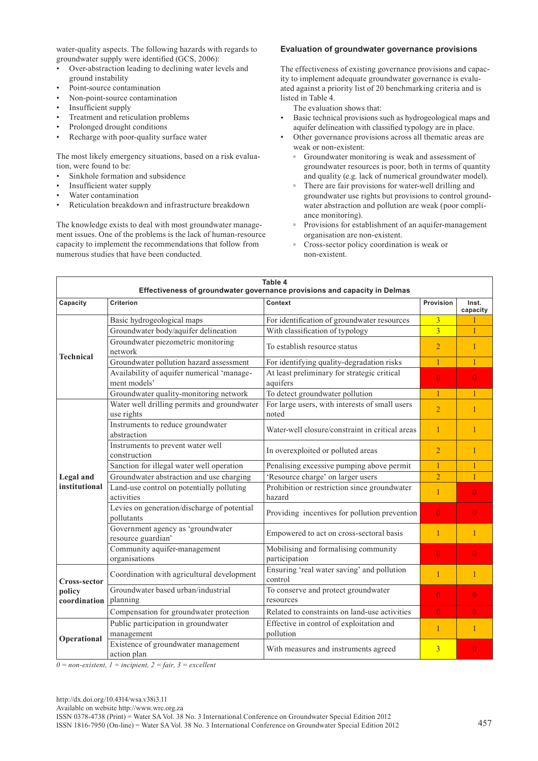water-quality aspects. The following hazards with regards to groundwater supply were identified (GCS, 2006):

- Over-abstraction leading to declining water levels and ground instability
- Point-source contamination
- Non-point-source contamination
- Insufficient supply
- Treatment and reticulation problems
- Prolonged drought conditions
- Recharge with poor-quality surface water

The most likely emergency situations, based on a risk evaluation, were found to be:

- Sinkhole formation and subsidence
- Insufficient water supply
- Water contamination
- Reticulation breakdown and infrastructure breakdown

The knowledge exists to deal with most groundwater management issues. One of the problems is the lack of human-resource capacity to implement the recommendations that follow from numerous studies that have been conducted.

### **Evaluation of groundwater governance provisions**

The effectiveness of existing governance provisions and capacity to implement adequate groundwater governance is evaluated against a priority list of 20 benchmarking criteria and is listed in Table 4.

The evaluation shows that:

- Basic technical provisions such as hydrogeological maps and aquifer delineation with classified typology are in place.
- Other governance provisions across all thematic areas are weak or non-existent:
	- Groundwater monitoring is weak and assessment of groundwater resources is poor, both in terms of quantity and quality (e.g. lack of numerical groundwater model).
	- There are fair provisions for water-well drilling and groundwater use rights but provisions to control groundwater abstraction and pollution are weak (poor compliance monitoring).
	- Provisions for establishment of an aquifer-management organisation are non-existent.
	- Cross-sector policy coordination is weak or non-existent.

| Table 4<br>Effectiveness of groundwater governance provisions and capacity in Delmas |                                                            |                                                         |                |                   |  |  |
|--------------------------------------------------------------------------------------|------------------------------------------------------------|---------------------------------------------------------|----------------|-------------------|--|--|
| Capacity                                                                             | <b>Criterion</b>                                           | Context                                                 | Provision      | Inst.<br>capacity |  |  |
| <b>Technical</b>                                                                     | Basic hydrogeological maps                                 | For identification of groundwater resources             | $\overline{3}$ |                   |  |  |
|                                                                                      | Groundwater body/aquifer delineation                       | With classification of typology                         | $\overline{3}$ | $\mathbf{1}$      |  |  |
|                                                                                      | Groundwater piezometric monitoring<br>network              | To establish resource status                            | $\overline{2}$ | $\mathbf{1}$      |  |  |
|                                                                                      | Groundwater pollution hazard assessment                    | For identifying quality-degradation risks               | 1              | $\mathbf{1}$      |  |  |
|                                                                                      | Availability of aquifer numerical 'manage-<br>ment models' | At least preliminary for strategic critical<br>aquifers | $\overline{0}$ | $\overline{0}$    |  |  |
|                                                                                      | Groundwater quality-monitoring network                     | To detect groundwater pollution                         | $\overline{1}$ | $\mathbf{1}$      |  |  |
|                                                                                      | Water well drilling permits and groundwater<br>use rights  | For large users, with interests of small users<br>noted | $\overline{2}$ | $\mathbf{1}$      |  |  |
|                                                                                      | Instruments to reduce groundwater<br>abstraction           | Water-well closure/constraint in critical areas         | $\mathbf{1}$   | 1                 |  |  |
|                                                                                      | Instruments to prevent water well<br>construction          | In overexploited or polluted areas                      | $\overline{2}$ | 1                 |  |  |
|                                                                                      | Sanction for illegal water well operation                  | Penalising excessive pumping above permit               | $\mathbf{1}$   | $\mathbf{1}$      |  |  |
| Legal and                                                                            | Groundwater abstraction and use charging                   | 'Resource charge' on larger users                       | $\overline{2}$ | $\mathbf{1}$      |  |  |
| institutional                                                                        | Land-use control on potentially polluting<br>activities    | Prohibition or restriction since groundwater<br>hazard  | $\mathbf{1}$   | $\overline{0}$    |  |  |
|                                                                                      | Levies on generation/discharge of potential<br>pollutants  | Providing incentives for pollution prevention           | $\overline{0}$ | $\theta$          |  |  |
|                                                                                      | Government agency as 'groundwater<br>resource guardian'    | Empowered to act on cross-sectoral basis                | $\mathbf{1}$   | $\mathbf{1}$      |  |  |
|                                                                                      | Community aquifer-management<br>organisations              | Mobilising and formalising community<br>participation   | $\overline{0}$ | $\theta$          |  |  |
| Cross-sector                                                                         | Coordination with agricultural development                 | Ensuring 'real water saving' and pollution<br>control   | 1              | $\mathbf{1}$      |  |  |
| policy                                                                               | Groundwater based urban/industrial                         | To conserve and protect groundwater                     | $\Omega$       | $\overline{0}$    |  |  |
| coordination                                                                         | planning                                                   | resources                                               |                |                   |  |  |
|                                                                                      | Compensation for groundwater protection                    | Related to constraints on land-use activities           | $\Omega$       | $\overline{0}$    |  |  |
| Operational                                                                          | Public participation in groundwater<br>management          | Effective in control of exploitation and<br>pollution   | $\mathbf{1}$   | $\mathbf{1}$      |  |  |
|                                                                                      | Existence of groundwater management<br>action plan         | With measures and instruments agreed                    | $\overline{3}$ | $\overline{0}$    |  |  |

*0 = non-existent, 1 = incipient, 2 = fair, 3 = excellent*

ISSN 0378-4738 (Print) = Water SA Vol. 38 No. 3 International Conference on Groundwater Special Edition 2012 ISSN 1816-7950 (On-line) = Water SA Vol. 38 No. 3 International Conference on Groundwater Special Edition 2012 457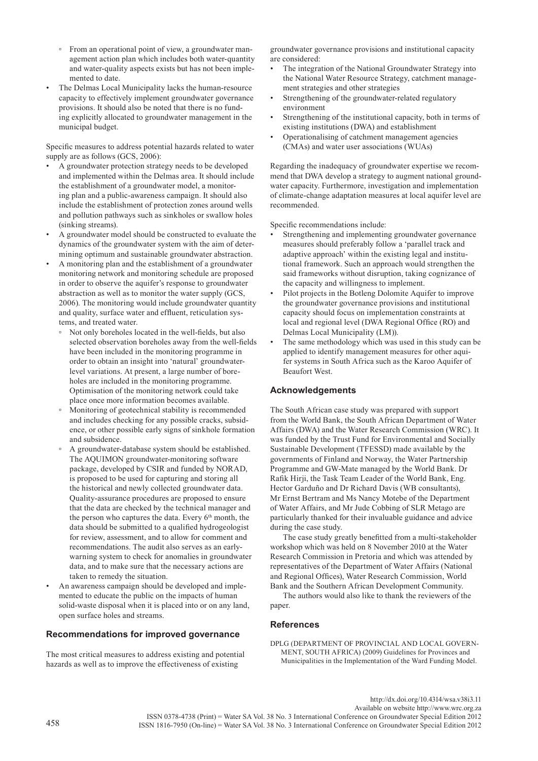- From an operational point of view, a groundwater management action plan which includes both water-quantity and water-quality aspects exists but has not been implemented to date.
- The Delmas Local Municipality lacks the human-resource capacity to effectively implement groundwater governance provisions. It should also be noted that there is no funding explicitly allocated to groundwater management in the municipal budget.

Specific measures to address potential hazards related to water supply are as follows (GCS, 2006):

- A groundwater protection strategy needs to be developed and implemented within the Delmas area. It should include the establishment of a groundwater model, a monitoring plan and a public-awareness campaign. It should also include the establishment of protection zones around wells and pollution pathways such as sinkholes or swallow holes (sinking streams).
- A groundwater model should be constructed to evaluate the dynamics of the groundwater system with the aim of determining optimum and sustainable groundwater abstraction.
- A monitoring plan and the establishment of a groundwater monitoring network and monitoring schedule are proposed in order to observe the aquifer's response to groundwater abstraction as well as to monitor the water supply (GCS, 2006). The monitoring would include groundwater quantity and quality, surface water and effluent, reticulation systems, and treated water.
	- Not only boreholes located in the well-fields, but also selected observation boreholes away from the well-fields have been included in the monitoring programme in order to obtain an insight into 'natural' groundwaterlevel variations. At present, a large number of boreholes are included in the monitoring programme. Optimisation of the monitoring network could take place once more information becomes available.
	- Monitoring of geotechnical stability is recommended and includes checking for any possible cracks, subsidence, or other possible early signs of sinkhole formation and subsidence.
	- A groundwater-database system should be established. The AQUIMON groundwater-monitoring software package, developed by CSIR and funded by NORAD, is proposed to be used for capturing and storing all the historical and newly collected groundwater data. Quality-assurance procedures are proposed to ensure that the data are checked by the technical manager and the person who captures the data. Every  $6<sup>th</sup>$  month, the data should be submitted to a qualified hydrogeologist for review, assessment, and to allow for comment and recommendations. The audit also serves as an earlywarning system to check for anomalies in groundwater data, and to make sure that the necessary actions are taken to remedy the situation.
- An awareness campaign should be developed and implemented to educate the public on the impacts of human solid-waste disposal when it is placed into or on any land, open surface holes and streams.

# **Recommendations for improved governance**

The most critical measures to address existing and potential hazards as well as to improve the effectiveness of existing

groundwater governance provisions and institutional capacity are considered:

- The integration of the National Groundwater Strategy into the National Water Resource Strategy, catchment management strategies and other strategies
- Strengthening of the groundwater-related regulatory environment
- Strengthening of the institutional capacity, both in terms of existing institutions (DWA) and establishment
- Operationalising of catchment management agencies (CMAs) and water user associations (WUAs)

Regarding the inadequacy of groundwater expertise we recommend that DWA develop a strategy to augment national groundwater capacity. Furthermore, investigation and implementation of climate-change adaptation measures at local aquifer level are recommended.

Specific recommendations include:

- Strengthening and implementing groundwater governance measures should preferably follow a 'parallel track and adaptive approach' within the existing legal and institutional framework. Such an approach would strengthen the said frameworks without disruption, taking cognizance of the capacity and willingness to implement.
- Pilot projects in the Botleng Dolomite Aquifer to improve the groundwater governance provisions and institutional capacity should focus on implementation constraints at local and regional level (DWA Regional Office (RO) and Delmas Local Municipality (LM)).
- The same methodology which was used in this study can be applied to identify management measures for other aquifer systems in South Africa such as the Karoo Aquifer of Beaufort West.

# **Acknowledgements**

The South African case study was prepared with support from the World Bank, the South African Department of Water Affairs (DWA) and the Water Research Commission (WRC). It was funded by the Trust Fund for Environmental and Socially Sustainable Development (TFESSD) made available by the governments of Finland and Norway, the Water Partnership Programme and GW-Mate managed by the World Bank. Dr Rafik Hirji, the Task Team Leader of the World Bank, Eng. Hector Garduño and Dr Richard Davis (WB consultants), Mr Ernst Bertram and Ms Nancy Motebe of the Department of Water Affairs, and Mr Jude Cobbing of SLR Metago are particularly thanked for their invaluable guidance and advice during the case study.

The case study greatly benefitted from a multi-stakeholder workshop which was held on 8 November 2010 at the Water Research Commission in Pretoria and which was attended by representatives of the Department of Water Affairs (National and Regional Offices), Water Research Commission, World Bank and the Southern African Development Community.

The authors would also like to thank the reviewers of the paper.

# **References**

DPLG (DEPARTMENT OF PROVINCIAL AND LOCAL GOVERN-MENT, SOUTH AFRICA) (2009) Guidelines for Provinces and Municipalities in the Implementation of the Ward Funding Model.